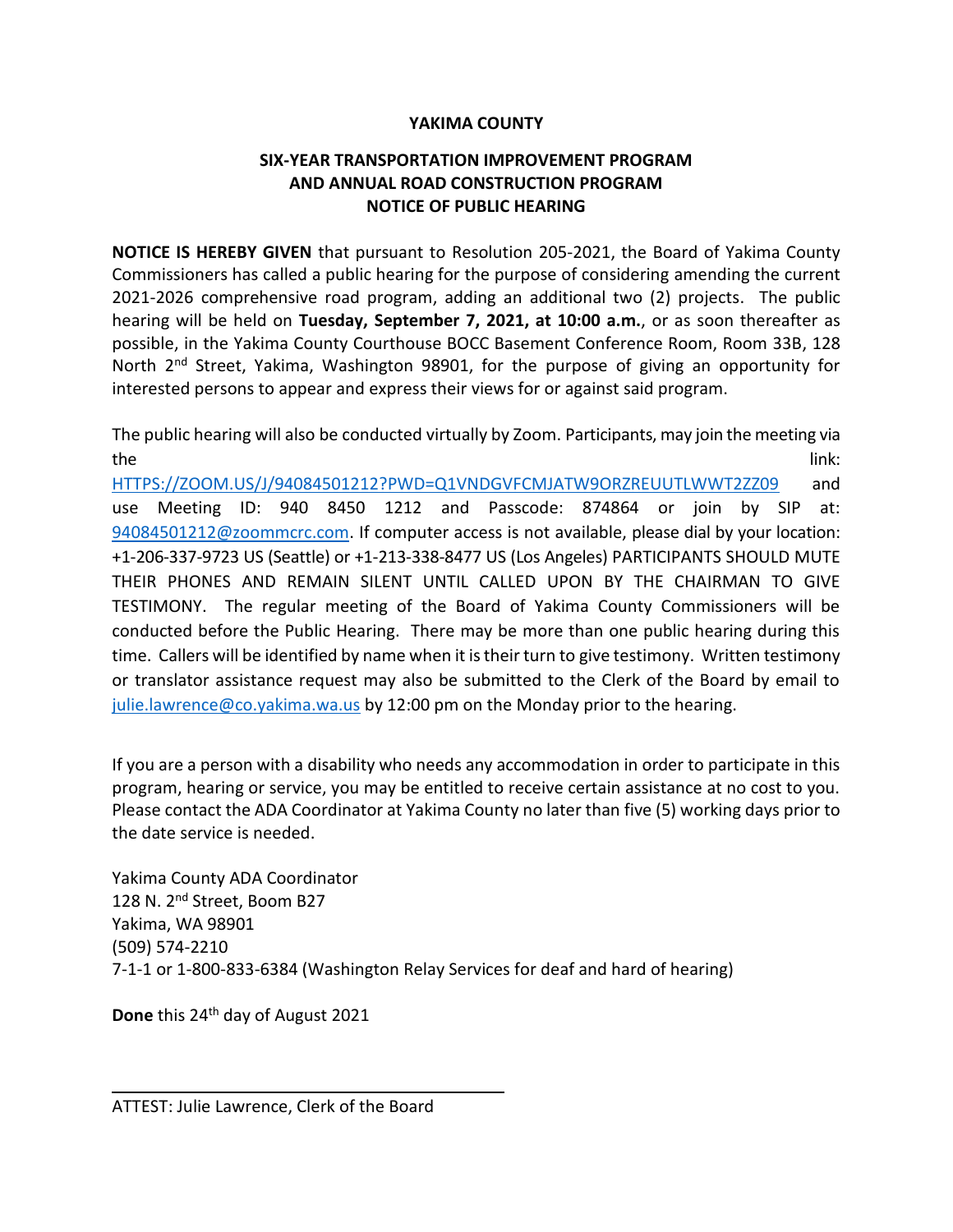## **YAKIMA COUNTY**

## **SIX-YEAR TRANSPORTATION IMPROVEMENT PROGRAM AND ANNUAL ROAD CONSTRUCTION PROGRAM NOTICE OF PUBLIC HEARING**

**NOTICE IS HEREBY GIVEN** that pursuant to Resolution 205-2021, the Board of Yakima County Commissioners has called a public hearing for the purpose of considering amending the current 2021-2026 comprehensive road program, adding an additional two (2) projects. The public hearing will be held on **Tuesday, September 7, 2021, at 10:00 a.m.**, or as soon thereafter as possible, in the Yakima County Courthouse BOCC Basement Conference Room, Room 33B, 128 North 2<sup>nd</sup> Street, Yakima, Washington 98901, for the purpose of giving an opportunity for interested persons to appear and express their views for or against said program.

The public hearing will also be conducted virtually by Zoom. Participants, may join the meeting via the link: the link:  $\mathcal{L} = \mathcal{L} \mathcal{L} = \mathcal{L} \mathcal{L}$  and  $\mathcal{L} = \mathcal{L} \mathcal{L} \mathcal{L} = \mathcal{L} \mathcal{L} \mathcal{L} \mathcal{L}$ 

[HTTPS://ZOOM.US/J/94084501212?PWD=Q1VNDGVFCMJATW9ORZREUUTLWWT2ZZ09](https://zoom.us/J/94084501212?PWD=Q1VNDGVFCMJATW9ORZREUUTLWWT2ZZ09) and use Meeting ID: 940 8450 1212 and Passcode: 874864 or join by SIP at: [94084501212@zoommcrc.com.](mailto:94084501212@zoommcrc.com) If computer access is not available, please dial by your location: +1-206-337-9723 US (Seattle) or +1-213-338-8477 US (Los Angeles) PARTICIPANTS SHOULD MUTE THEIR PHONES AND REMAIN SILENT UNTIL CALLED UPON BY THE CHAIRMAN TO GIVE TESTIMONY. The regular meeting of the Board of Yakima County Commissioners will be conducted before the Public Hearing. There may be more than one public hearing during this time. Callers will be identified by name when it is their turn to give testimony. Written testimony or translator assistance request may also be submitted to the Clerk of the Board by email to [julie.lawrence@co.yakima.wa.us](mailto:Julie.lawrence@co.yakima.wa.us) by 12:00 pm on the Monday prior to the hearing.

If you are a person with a disability who needs any accommodation in order to participate in this program, hearing or service, you may be entitled to receive certain assistance at no cost to you. Please contact the ADA Coordinator at Yakima County no later than five (5) working days prior to the date service is needed.

Yakima County ADA Coordinator 128 N. 2<sup>nd</sup> Street, Boom B27 Yakima, WA 98901 (509) 574-2210 7-1-1 or 1-800-833-6384 (Washington Relay Services for deaf and hard of hearing)

Done this 24<sup>th</sup> day of August 2021

ATTEST: Julie Lawrence, Clerk of the Board